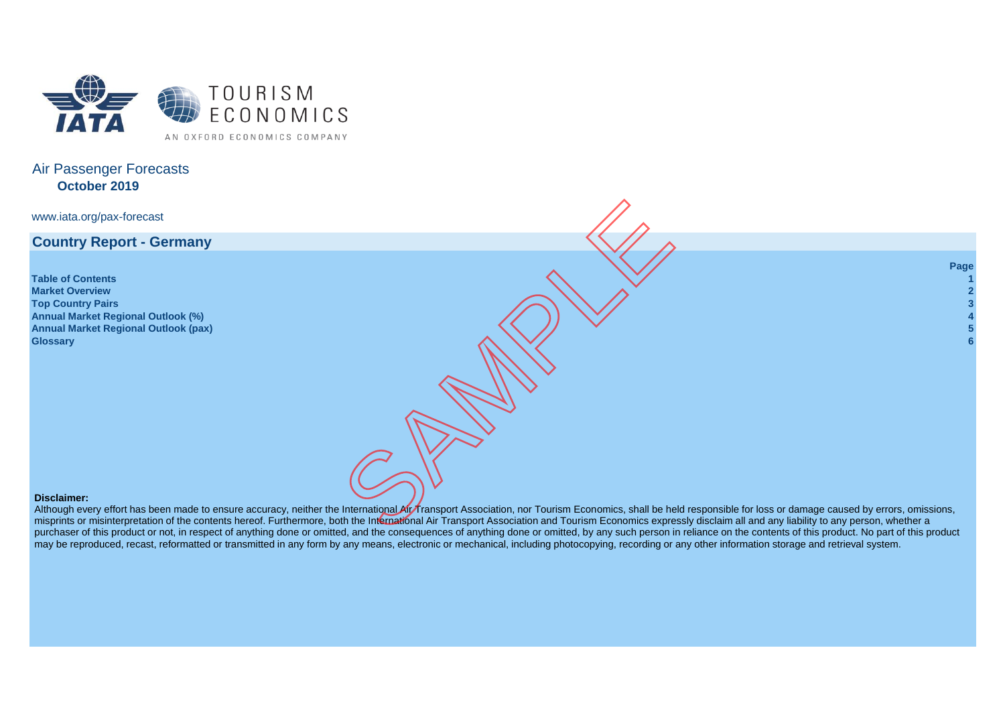

# Air Passenger Forecasts **October 2019**

[www.iata.org/pax-forecast](http://www.iata.org/pax-forecast)

**Country Report - Germany**

**Table of Contents 1 [Market Overview](http://www.iata.org/pax-forecast) 2 Top Country Pairs 3 Annual Market Regional Outlook (%) 4 Annual Market Regional Outlook (pax) 5 Glossary 6**

**Page**

## **Disclaimer:**

Although every effort has been made to ensure accuracy, neither the International Air Transport Association, nor Tourism Economics, shall be held responsible for loss or damage caused by errors, omissions, misprints or misinterpretation of the contents hereof. Furthermore, both the International Air Transport Association and Tourism Economics expressly disclaim all and any liability to any person, whether a purchaser of this product or not, in respect of anything done or omitted, and the consequences of anything done or omitted, by any such person in reliance on the contents of this product. No part of this product may be reproduced, recast, reformatted or transmitted in any form by any means, electronic or mechanical, including photocopy ing, recording or any other information storage and retrieval system.The International Art Transport Association, nor Tourism Economics, shall be held restricted by the Contract Contract Art Transport<br>Between the Sample of Art Transport Association, nor Tourism Economics, shall be held rest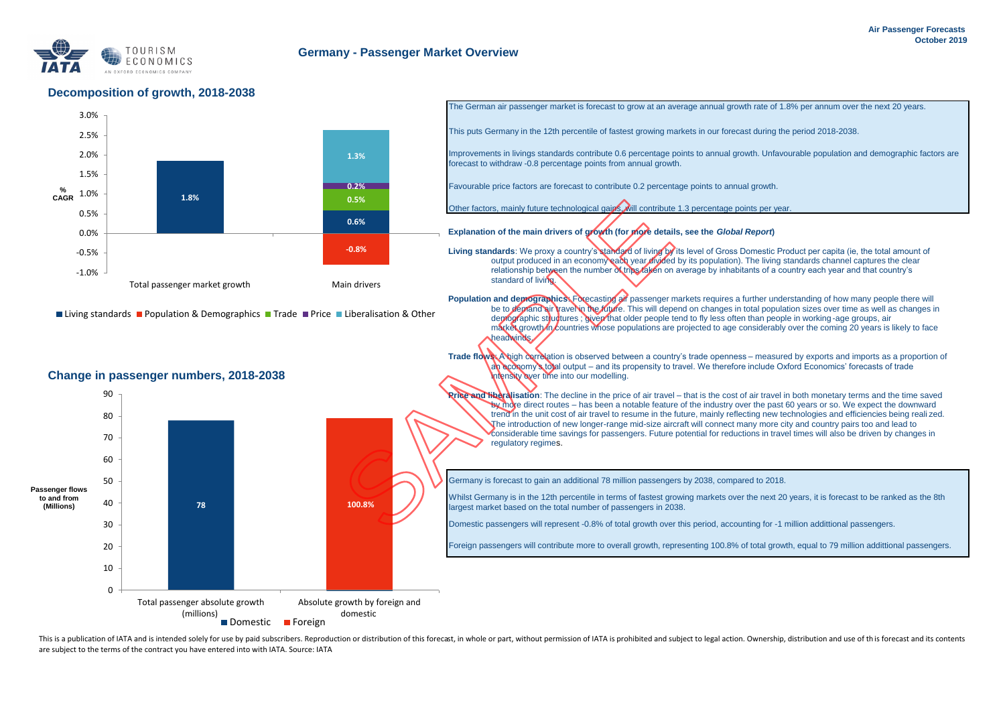

## **Decomposition of growth, 2018-2038**



This is a publication of IATA and is intended solely for use by paid subscribers. Reproduction or distribution of this forecast, in whole or part, without permission of IATA is prohibited and subject to legal action. Owner are subject to the terms of the contract you have entered into with IATA. Source: IATA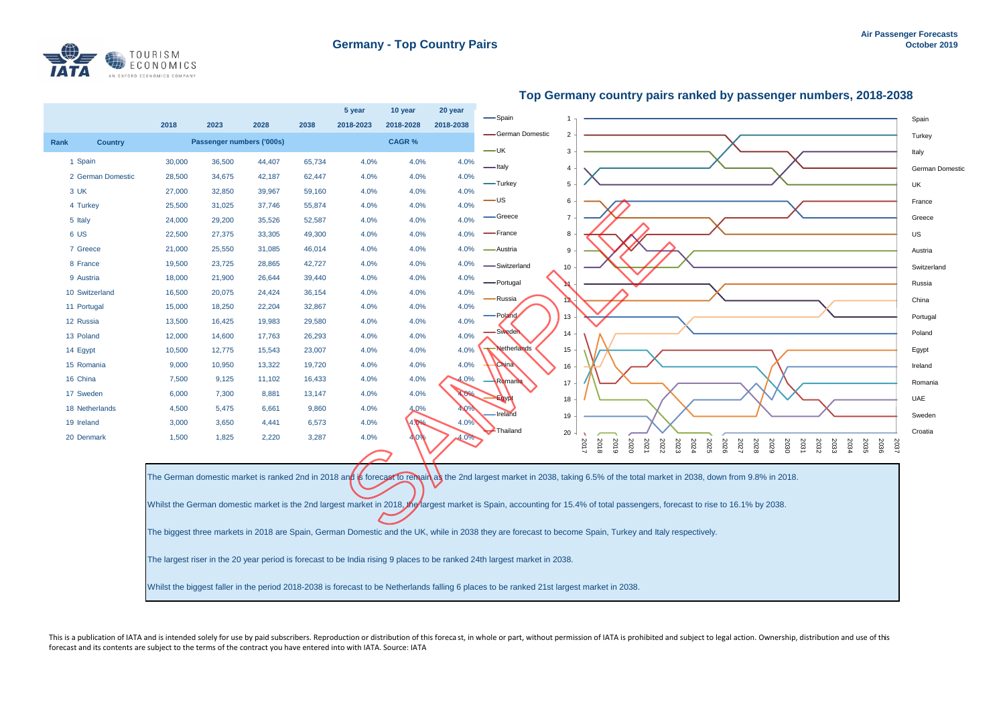

|                        |        |                           |        |        | 5 year    | 10 year      | 20 year   | — Spain                                                                                                                                    |                  |                                                                                                                                                                                                                                                                                                                                                                                                                                                                                                                              |                 |
|------------------------|--------|---------------------------|--------|--------|-----------|--------------|-----------|--------------------------------------------------------------------------------------------------------------------------------------------|------------------|------------------------------------------------------------------------------------------------------------------------------------------------------------------------------------------------------------------------------------------------------------------------------------------------------------------------------------------------------------------------------------------------------------------------------------------------------------------------------------------------------------------------------|-----------------|
|                        | 2018   | 2023                      | 2028   | 2038   | 2018-2023 | 2018-2028    | 2018-2038 |                                                                                                                                            |                  |                                                                                                                                                                                                                                                                                                                                                                                                                                                                                                                              | Spain           |
| Rank<br><b>Country</b> |        | Passenger numbers ('000s) |        |        |           | <b>CAGR%</b> |           | German Domestic<br>$-\cup$ K                                                                                                               | 3                |                                                                                                                                                                                                                                                                                                                                                                                                                                                                                                                              | Turkey          |
| 1 Spain                | 30,000 | 36,500                    | 44,407 | 65,734 | 4.0%      | 4.0%         | 4.0%      | -Italy                                                                                                                                     | $\overline{4}$   | Italy                                                                                                                                                                                                                                                                                                                                                                                                                                                                                                                        |                 |
| 2 German Domestic      | 28,500 | 34,675                    | 42,187 | 62,447 | 4.0%      | 4.0%         | 4.0%      |                                                                                                                                            |                  |                                                                                                                                                                                                                                                                                                                                                                                                                                                                                                                              | German Domestic |
| 3 UK                   | 27,000 | 32,850                    | 39,967 | 59,160 | 4.0%      | 4.0%         | 4.0%      | -Turkey                                                                                                                                    | 5                | UK                                                                                                                                                                                                                                                                                                                                                                                                                                                                                                                           |                 |
| 4 Turkey               | 25,500 | 31,025                    | 37,746 | 55,874 | 4.0%      | 4.0%         | 4.0%      | ۰US                                                                                                                                        | 6                |                                                                                                                                                                                                                                                                                                                                                                                                                                                                                                                              | France          |
| 5 Italy                | 24,000 | 29,200                    | 35,526 | 52,587 | 4.0%      | 4.0%         | 4.0%      | ·Greece                                                                                                                                    | $\overline{7}$   |                                                                                                                                                                                                                                                                                                                                                                                                                                                                                                                              | Greece          |
| 6 US                   | 22,500 | 27,375                    | 33,305 | 49,300 | 4.0%      | 4.0%         | 4.0%      | -France                                                                                                                                    | 8                | US                                                                                                                                                                                                                                                                                                                                                                                                                                                                                                                           |                 |
| 7 Greece               | 21,000 | 25,550                    | 31,085 | 46,014 | 4.0%      | 4.0%         | 4.0%      | -Austria                                                                                                                                   | $\boldsymbol{9}$ |                                                                                                                                                                                                                                                                                                                                                                                                                                                                                                                              | Austria         |
| 8 France               | 19,500 | 23,725                    | 28,865 | 42,727 | 4.0%      | 4.0%         | 4.0%      | -Switzerland                                                                                                                               | 10               |                                                                                                                                                                                                                                                                                                                                                                                                                                                                                                                              | Switzerland     |
| 9 Austria              | 18,000 | 21,900                    | 26,644 | 39,440 | 4.0%      | 4.0%         | 4.0%      | -Portugal                                                                                                                                  |                  |                                                                                                                                                                                                                                                                                                                                                                                                                                                                                                                              | Russia          |
| 10 Switzerland         | 16,500 | 20,075                    | 24,424 | 36,154 | 4.0%      | 4.0%         | 4.0%      | -Russia                                                                                                                                    | 12               |                                                                                                                                                                                                                                                                                                                                                                                                                                                                                                                              | China           |
| 11 Portugal            | 15,000 | 18,250                    | 22,204 | 32,867 | 4.0%      | 4.0%         | 4.0%      | Poland                                                                                                                                     |                  |                                                                                                                                                                                                                                                                                                                                                                                                                                                                                                                              |                 |
| 12 Russia              | 13,500 | 16,425                    | 19,983 | 29,580 | 4.0%      | 4.0%         | 4.0%      |                                                                                                                                            | 13               |                                                                                                                                                                                                                                                                                                                                                                                                                                                                                                                              | Portugal        |
| 13 Poland              | 12,000 | 14,600                    | 17,763 | 26,293 | 4.0%      | 4.0%         | 4.0%      | Sweden                                                                                                                                     | 14               |                                                                                                                                                                                                                                                                                                                                                                                                                                                                                                                              | Poland          |
| 14 Egypt               | 10,500 | 12,775                    | 15,543 | 23,007 | 4.0%      | 4.0%         | 4.0%      | Netherlands                                                                                                                                | 15               |                                                                                                                                                                                                                                                                                                                                                                                                                                                                                                                              | Egypt           |
| 15 Romania             | 9,000  | 10,950                    | 13,322 | 19,720 | 4.0%      | 4.0%         | 4.0%      | <b>China</b>                                                                                                                               | 16               |                                                                                                                                                                                                                                                                                                                                                                                                                                                                                                                              | Ireland         |
| 16 China               | 7,500  | 9,125                     | 11,102 | 16,433 | 4.0%      | 4.0%         |           | Romania                                                                                                                                    | 17               |                                                                                                                                                                                                                                                                                                                                                                                                                                                                                                                              | Romania         |
| 17 Sweden              | 6,000  | 7,300                     | 8,881  | 13,147 | 4.0%      | 4.0%         |           | Egypt                                                                                                                                      | 18               |                                                                                                                                                                                                                                                                                                                                                                                                                                                                                                                              | UAE             |
| 18 Netherlands         | 4,500  | 5,475                     | 6,661  | 9,860  | 4.0%      | 4.0%         | 4.0%      | Ireland                                                                                                                                    | 19               |                                                                                                                                                                                                                                                                                                                                                                                                                                                                                                                              | Sweden          |
| 19 Ireland             | 3,000  | 3,650                     | 4,441  | 6,573  | 4.0%      | 4.0%         | 4.0%      | Thailand                                                                                                                                   |                  |                                                                                                                                                                                                                                                                                                                                                                                                                                                                                                                              | Croatia         |
| 20 Denmark             | 1,500  | 1,825                     | 2,220  | 3,287  | 4.0%      |              | 4.0%      |                                                                                                                                            | 20               | 2018<br><b>2019</b><br>2020<br>2017<br>2021<br>2022<br>2024<br>2025<br>2035<br>2036<br>2037<br>2023<br>2026<br>2027<br>2028<br>2031<br>2032<br>2033<br>2034<br>2029<br>2030                                                                                                                                                                                                                                                                                                                                                  |                 |
|                        |        |                           |        |        |           |              |           |                                                                                                                                            |                  |                                                                                                                                                                                                                                                                                                                                                                                                                                                                                                                              |                 |
|                        |        |                           |        |        |           |              |           |                                                                                                                                            |                  | The German domestic market is ranked 2nd in 2018 and is forecast to remain as the 2nd largest market in 2038, taking 6.5% of the total market in 2038, down from 9.8% in 2018.<br>Whilst the German domestic market is the 2nd largest market in 2018. the largest market is Spain, accounting for 15.4% of total passengers, forecast to rise to 16.1% by 2038.<br>The biggest three markets in 2018 are Spain, German Domestic and the UK, while in 2038 they are forecast to become Spain, Turkey and Italy respectively. |                 |
|                        |        |                           |        |        |           |              |           | The largest riser in the 20 year period is forecast to be India rising 9 places to be ranked 24th largest market in 2038.                  |                  |                                                                                                                                                                                                                                                                                                                                                                                                                                                                                                                              |                 |
|                        |        |                           |        |        |           |              |           | Whilst the biggest faller in the period 2018-2038 is forecast to be Netherlands falling 6 places to be ranked 21st largest market in 2038. |                  |                                                                                                                                                                                                                                                                                                                                                                                                                                                                                                                              |                 |

# **Top Germany country pairs ranked by passenger numbers, 2018-2038**

This is a publication of IATA and is intended solely for use by paid subscribers. Reproduction or distribution of this forecast, in whole or part, without permission of IATA is prohibited and subject to legal action. Owner forecast and its contents are subject to the terms of the contract you have entered into with IATA. Source: IATA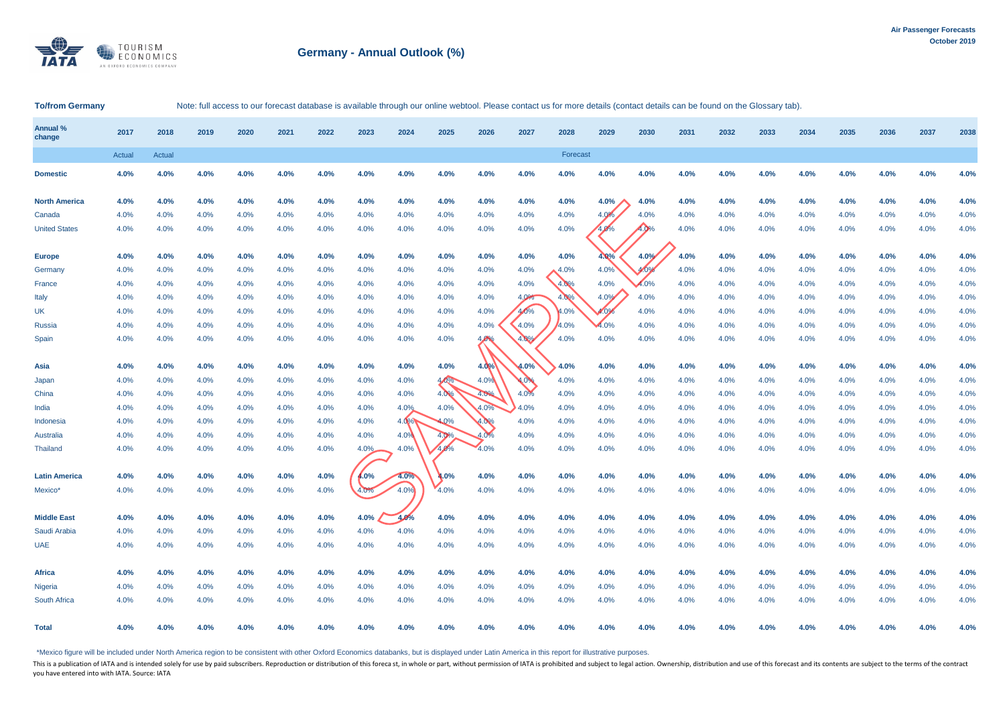

# **Germany - Annual Outlook (%)**

### To/from Germany Note: full access to our forecast database is available through our online webtool. Please contact us for more details (contact details can be found on the Glossary tab).

| Annual %<br>change   | 2017   | 2018          | 2019 | 2020 | 2021 | 2022 | 2023 | 2024 | 2025 | 2026 | 2027 | 2028     | 2029    | 2030 | 2031 | 2032 | 2033 | 2034 | 2035 | 2036 | 2037 | 2038 |
|----------------------|--------|---------------|------|------|------|------|------|------|------|------|------|----------|---------|------|------|------|------|------|------|------|------|------|
|                      | Actual | <b>Actual</b> |      |      |      |      |      |      |      |      |      | Forecast |         |      |      |      |      |      |      |      |      |      |
| <b>Domestic</b>      | 4.0%   | 4.0%          | 4.0% | 4.0% | 4.0% | 4.0% | 4.0% | 4.0% | 4.0% | 4.0% | 4.0% | 4.0%     | 4.0%    | 4.0% | 4.0% | 4.0% | 4.0% | 4.0% | 4.0% | 4.0% | 4.0% | 4.0% |
| <b>North America</b> | 4.0%   | 4.0%          | 4.0% | 4.0% | 4.0% | 4.0% | 4.0% | 4.0% | 4.0% | 4.0% | 4.0% | 4.0%     | $4.0\%$ | 4.0% | 4.0% | 4.0% | 4.0% | 4.0% | 4.0% | 4.0% | 4.0% | 4.0% |
| Canada               | 4.0%   | 4.0%          | 4.0% | 4.0% | 4.0% | 4.0% | 4.0% | 4.0% | 4.0% | 4.0% | 4.0% | 4.0%     | 4.0%    | 4.0% | 4.0% | 4.0% | 4.0% | 4.0% | 4.0% | 4.0% | 4.0% | 4.0% |
| <b>United States</b> | 4.0%   | 4.0%          | 4.0% | 4.0% | 4.0% | 4.0% | 4.0% | 4.0% | 4.0% | 4.0% | 4.0% | 4.0%     | 4.0%    | 4.0% | 4.0% | 4.0% | 4.0% | 4.0% | 4.0% | 4.0% | 4.0% | 4.0% |
| <b>Europe</b>        | 4.0%   | 4.0%          | 4.0% | 4.0% | 4.0% | 4.0% | 4.0% | 4.0% | 4.0% | 4.0% | 4.0% | 4.0%     | 4.0%    | 4.0% | 4.0% | 4.0% | 4.0% | 4.0% | 4.0% | 4.0% | 4.0% | 4.0% |
| Germany              | 4.0%   | 4.0%          | 4.0% | 4.0% | 4.0% | 4.0% | 4.0% | 4.0% | 4.0% | 4.0% | 4.0% | 4.0%     | 4.0%    | 4.0% | 4.0% | 4.0% | 4.0% | 4.0% | 4.0% | 4.0% | 4.0% | 4.0% |
| France               | 4.0%   | 4.0%          | 4.0% | 4.0% | 4.0% | 4.0% | 4.0% | 4.0% | 4.0% | 4.0% | 4.0% | 4.0%     | 4.0%    | 4.0% | 4.0% | 4.0% | 4.0% | 4.0% | 4.0% | 4.0% | 4.0% | 4.0% |
| Italy                | 4.0%   | 4.0%          | 4.0% | 4.0% | 4.0% | 4.0% | 4.0% | 4.0% | 4.0% | 4.0% | 4.0% | 4.0%     | 4.0%    | 4.0% | 4.0% | 4.0% | 4.0% | 4.0% | 4.0% | 4.0% | 4.0% | 4.0% |
| <b>UK</b>            | 4.0%   | 4.0%          | 4.0% | 4.0% | 4.0% | 4.0% | 4.0% | 4.0% | 4.0% | 4.0% | 4.0% | 4.0%     | 4.0%    | 4.0% | 4.0% | 4.0% | 4.0% | 4.0% | 4.0% | 4.0% | 4.0% | 4.0% |
| Russia               | 4.0%   | 4.0%          | 4.0% | 4.0% | 4.0% | 4.0% | 4.0% | 4.0% | 4.0% | 4.0% | 4.0% | 4.0%     | 4.0%    | 4.0% | 4.0% | 4.0% | 4.0% | 4.0% | 4.0% | 4.0% | 4.0% | 4.0% |
| Spain                | 4.0%   | 4.0%          | 4.0% | 4.0% | 4.0% | 4.0% | 4.0% | 4.0% | 4.0% | 4.0% | 4.0% | 4.0%     | 4.0%    | 4.0% | 4.0% | 4.0% | 4.0% | 4.0% | 4.0% | 4.0% | 4.0% | 4.0% |
|                      |        |               |      |      |      |      |      |      |      |      |      |          |         |      |      |      |      |      |      |      |      |      |
| Asia                 | 4.0%   | 4.0%          | 4.0% | 4.0% | 4.0% | 4.0% | 4.0% | 4.0% | 4.0% | 4.0% | 4.0% | 4.0%     | 4.0%    | 4.0% | 4.0% | 4.0% | 4.0% | 4.0% | 4.0% | 4.0% | 4.0% | 4.0% |
| Japan                | 4.0%   | 4.0%          | 4.0% | 4.0% | 4.0% | 4.0% | 4.0% | 4.0% | 4.0% | 4.0% | 4.0% | 4.0%     | 4.0%    | 4.0% | 4.0% | 4.0% | 4.0% | 4.0% | 4.0% | 4.0% | 4.0% | 4.0% |
| China                | 4.0%   | 4.0%          | 4.0% | 4.0% | 4.0% | 4.0% | 4.0% | 4.0% | 4.0% | 4.0% | 4.0% | 4.0%     | 4.0%    | 4.0% | 4.0% | 4.0% | 4.0% | 4.0% | 4.0% | 4.0% | 4.0% | 4.0% |
| India                | 4.0%   | 4.0%          | 4.0% | 4.0% | 4.0% | 4.0% | 4.0% | 4.0% | 4.0% | 4.0% | 4.0% | 4.0%     | 4.0%    | 4.0% | 4.0% | 4.0% | 4.0% | 4.0% | 4.0% | 4.0% | 4.0% | 4.0% |
| Indonesia            | 4.0%   | 4.0%          | 4.0% | 4.0% | 4.0% | 4.0% | 4.0% | 4.0% | 4.0% | 4.0% | 4.0% | 4.0%     | 4.0%    | 4.0% | 4.0% | 4.0% | 4.0% | 4.0% | 4.0% | 4.0% | 4.0% | 4.0% |
| Australia            | 4.0%   | 4.0%          | 4.0% | 4.0% | 4.0% | 4.0% | 4.0% | 4.0% | 4.0% | 4.0% | 4.0% | 4.0%     | 4.0%    | 4.0% | 4.0% | 4.0% | 4.0% | 4.0% | 4.0% | 4.0% | 4.0% | 4.0% |
| Thailand             | 4.0%   | 4.0%          | 4.0% | 4.0% | 4.0% | 4.0% | 4.0% | 4.0% | 4.0% | 4.0% | 4.0% | 4.0%     | 4.0%    | 4.0% | 4.0% | 4.0% | 4.0% | 4.0% | 4.0% | 4.0% | 4.0% | 4.0% |
| <b>Latin America</b> | 4.0%   | 4.0%          | 4.0% | 4.0% | 4.0% | 4.0% | 4.0% | 4.0% | 4.0% | 4.0% | 4.0% | 4.0%     | 4.0%    | 4.0% | 4.0% | 4.0% | 4.0% | 4.0% | 4.0% | 4.0% | 4.0% | 4.0% |
| Mexico*              | 4.0%   | 4.0%          | 4.0% | 4.0% | 4.0% | 4.0% | 4.0% | 4.0% | 4.0% | 4.0% | 4.0% | 4.0%     | 4.0%    | 4.0% | 4.0% | 4.0% | 4.0% | 4.0% | 4.0% | 4.0% | 4.0% | 4.0% |
| <b>Middle East</b>   | 4.0%   | 4.0%          | 4.0% | 4.0% | 4.0% | 4.0% | 4.0% | 4.0% | 4.0% | 4.0% | 4.0% | 4.0%     | 4.0%    | 4.0% | 4.0% | 4.0% | 4.0% | 4.0% | 4.0% | 4.0% | 4.0% | 4.0% |
| Saudi Arabia         | 4.0%   | 4.0%          | 4.0% | 4.0% | 4.0% | 4.0% | 4.0% | 4.0% | 4.0% | 4.0% | 4.0% | 4.0%     | 4.0%    | 4.0% | 4.0% | 4.0% | 4.0% | 4.0% | 4.0% | 4.0% | 4.0% | 4.0% |
| <b>UAE</b>           | 4.0%   | 4.0%          | 4.0% | 4.0% | 4.0% | 4.0% | 4.0% | 4.0% | 4.0% | 4.0% | 4.0% | 4.0%     | 4.0%    | 4.0% | 4.0% | 4.0% | 4.0% | 4.0% | 4.0% | 4.0% | 4.0% | 4.0% |
|                      |        |               |      |      |      |      |      |      |      |      |      |          |         |      |      |      |      |      |      |      |      |      |
| <b>Africa</b>        | 4.0%   | 4.0%          | 4.0% | 4.0% | 4.0% | 4.0% | 4.0% | 4.0% | 4.0% | 4.0% | 4.0% | 4.0%     | 4.0%    | 4.0% | 4.0% | 4.0% | 4.0% | 4.0% | 4.0% | 4.0% | 4.0% | 4.0% |
| Nigeria              | 4.0%   | 4.0%          | 4.0% | 4.0% | 4.0% | 4.0% | 4.0% | 4.0% | 4.0% | 4.0% | 4.0% | 4.0%     | 4.0%    | 4.0% | 4.0% | 4.0% | 4.0% | 4.0% | 4.0% | 4.0% | 4.0% | 4.0% |
| South Africa         | 4.0%   | 4.0%          | 4.0% | 4.0% | 4.0% | 4.0% | 4.0% | 4.0% | 4.0% | 4.0% | 4.0% | 4.0%     | 4.0%    | 4.0% | 4.0% | 4.0% | 4.0% | 4.0% | 4.0% | 4.0% | 4.0% | 4.0% |
| <b>Total</b>         | 4.0%   | 4.0%          | 4.0% | 4.0% | 4.0% | 4.0% | 4.0% | 4.0% | 4.0% | 4.0% | 4.0% | 4.0%     | 4.0%    | 4.0% | 4.0% | 4.0% | 4.0% | 4.0% | 4.0% | 4.0% | 4.0% | 4.0% |

\*Mexico figure will be included under North America region to be consistent with other Oxford Economics databanks, but is displayed under Latin America in this report for illustrative purposes.

This is a publication of IATA and is intended solely for use by paid subscribers. Reproduction or distribution of this foreca st, in whole or part, without permission of IATA is prohibited and subject to legal action. Owne you have entered into with IATA. Source: IATA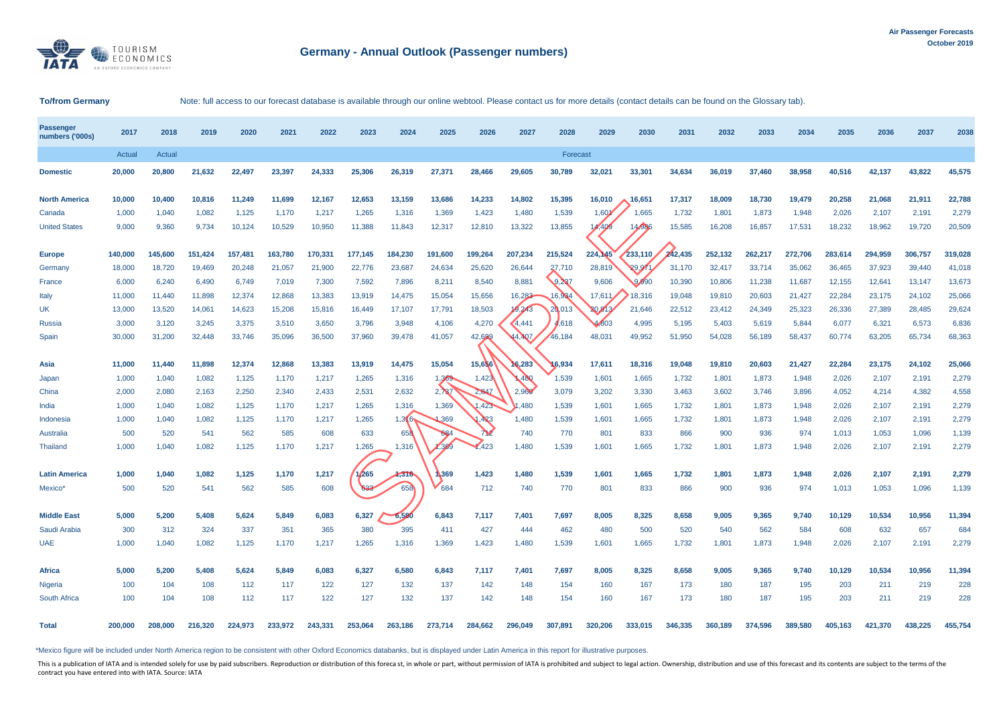

## **To/from Germany** Note: full access to our forecast database is available through our online webtool. Please contact us for more details (contact details can be found on the Glossary tab).

| <b>Passenger</b><br>numbers ('000s) | 2017    | 2018    | 2019    | 2020    | 2021    | 2022    | 2023    | 2024    | 2025    | 2026    | 2027    | 2028     | 2029           | 2030    | 2031    | 2032    | 2033    | 2034    | 2035    | 2036    | 2037    | 2038    |
|-------------------------------------|---------|---------|---------|---------|---------|---------|---------|---------|---------|---------|---------|----------|----------------|---------|---------|---------|---------|---------|---------|---------|---------|---------|
|                                     | Actual  | Actual  |         |         |         |         |         |         |         |         |         | Forecast |                |         |         |         |         |         |         |         |         |         |
| <b>Domestic</b>                     | 20,000  | 20,800  | 21,632  | 22,497  | 23,397  | 24,333  | 25,306  | 26,319  | 27,371  | 28,466  | 29,605  | 30,789   | 32,021         | 33,301  | 34,634  | 36,019  | 37,460  | 38,958  | 40,516  | 42,137  | 43,822  | 45,575  |
| <b>North America</b>                | 10,000  | 10,400  | 10,816  | 11,249  | 11,699  | 12,167  | 12,653  | 13,159  | 13,686  | 14,233  | 14,802  | 15,395   | 16,010         | 16,651  | 17,317  | 18,009  | 18,730  | 19,479  | 20,258  | 21,068  | 21,911  | 22,788  |
| Canada                              | 1,000   | 1,040   | 1,082   | 1,125   | 1,170   | 1,217   | 1,265   | 1,316   | 1,369   | 1,423   | 1,480   | 1,539    | $1,60^{\circ}$ | 1,665   | 1,732   | 1,801   | 1,873   | 1,948   | 2,026   | 2,107   | 2,191   | 2,279   |
| <b>United States</b>                | 9,000   | 9,360   | 9,734   | 10,124  | 10,529  | 10,950  | 11,388  | 11,843  | 12,317  | 12,810  | 13,322  | 13,855   | 4,409          | 14,986  | 15,585  | 16,208  | 16,857  | 17,531  | 18,232  | 18,962  | 19,720  | 20,509  |
| <b>Europe</b>                       | 140,000 | 145,600 | 151,424 | 157,481 | 163,780 | 170,331 | 177.145 | 184.230 | 191,600 | 199,264 | 207,234 | 215,524  | 224,145        | 233,110 | 242.435 | 252,132 | 262,217 | 272,706 | 283,614 | 294,959 | 306,757 | 319,028 |
| Germany                             | 18,000  | 18,720  | 19,469  | 20,248  | 21,057  | 21,900  | 22,776  | 23,687  | 24,634  | 25,620  | 26,644  | 27.710   | 28,819         | 29.97   | 31,170  | 32,417  | 33,714  | 35,062  | 36,465  | 37,923  | 39,440  | 41,018  |
| France                              | 6,000   | 6,240   | 6,490   | 6,749   | 7,019   | 7,300   | 7,592   | 7,896   | 8,211   | 8,540   | 8,881   | 9.237    | 9,606          | 9,990   | 10,390  | 10,806  | 11,238  | 11,687  | 12,155  | 12,641  | 13,147  | 13,673  |
| Italy                               | 11,000  | 11,440  | 11,898  | 12,374  | 12,868  | 13,383  | 13,919  | 14,475  | 15,054  | 15,656  | 16,283  | 16,934   | 17,611         | 18,316  | 19,048  | 19,810  | 20,603  | 21,427  | 22,284  | 23,175  | 24,102  | 25,066  |
| <b>UK</b>                           | 13,000  | 13,520  | 14,061  | 14,623  | 15,208  | 15,816  | 16,449  | 17,107  | 17,791  | 18,503  | 9243    | 20,013   | 20,813         | 21,646  | 22,512  | 23,412  | 24,349  | 25,323  | 26,336  | 27,389  | 28,485  | 29,624  |
| <b>Russia</b>                       | 3,000   | 3,120   | 3,245   | 3,375   | 3,510   | 3,650   | 3,796   | 3,948   | 4,106   | 4,270   | 4,441   | 4,618    | 4,803          | 4,995   | 5,195   | 5,403   | 5,619   | 5,844   | 6,077   | 6,321   | 6,573   | 6,836   |
| Spain                               | 30,000  | 31,200  | 32,448  | 33,746  | 35,096  | 36,500  | 37,960  | 39,478  | 41,057  | 42,699  | .407    | 46,184   | 48,031         | 49,952  | 51,950  | 54,028  | 56,189  | 58,437  | 60,774  | 63,205  | 65,734  | 68,363  |
|                                     |         |         |         |         |         |         |         |         |         |         |         |          |                |         |         |         |         |         |         |         |         |         |
| Asia                                | 11,000  | 11,440  | 11.898  | 12,374  | 12,868  | 13.383  | 13,919  | 14,475  | 15,054  | 15,656  | 16,283  | 16.934   | 17.611         | 18,316  | 19.048  | 19,810  | 20,603  | 21.427  | 22,284  | 23.175  | 24,102  | 25,066  |
| Japan                               | 1,000   | 1,040   | 1,082   | 1,125   | 1,170   | 1,217   | 1,265   | 1,316   | 1,369   | 1,423   | 480     | 1,539    | 1,601          | 1,665   | 1,732   | 1,801   | 1,873   | 1,948   | 2,026   | 2,107   | 2,191   | 2,279   |
| China                               | 2,000   | 2,080   | 2,163   | 2,250   | 2,340   | 2,433   | 2,531   | 2,632   | 2,737   | 2,847   | 2.960   | 3,079    | 3,202          | 3,330   | 3,463   | 3,602   | 3,746   | 3,896   | 4,052   | 4,214   | 4,382   | 4,558   |
| India                               | 1,000   | 1,040   | 1,082   | 1,125   | 1,170   | 1,217   | 1,265   | 1,316   | 1,369   | ,423    | .480    | 1,539    | 1,601          | 1,665   | 1,732   | 1,801   | 1,873   | 1,948   | 2,026   | 2,107   | 2,191   | 2,279   |
| Indonesia                           | 1,000   | 1,040   | 1,082   | 1,125   | 1,170   | 1,217   | 1,265   | 1,316.  | ,369    | .423    | 1,480   | 1,539    | 1,601          | 1,665   | 1,732   | 1,801   | 1,873   | 1,948   | 2,026   | 2,107   | 2,191   | 2,279   |
| Australia                           | 500     | 520     | 541     | 562     | 585     | 608     | 633     | 658     | 684     | 712     | 740     | 770      | 801            | 833     | 866     | 900     | 936     | 974     | 1,013   | 1,053   | 1,096   | 1,139   |
| Thailand                            | 1,000   | 1,040   | 1,082   | 1,125   | 1,170   | 1,217   | 1,265   | 1,316   | .369    | .423    | 1,480   | 1,539    | 1,601          | 1,665   | 1,732   | 1,801   | 1,873   | 1,948   | 2,026   | 2,107   | 2,191   | 2,279   |
| <b>Latin America</b>                | 1,000   | 1,040   | 1,082   | 1,125   | 1,170   | 1,217   | ,265    | 1,316   | 1369    | 1,423   | 1,480   | 1,539    | 1,601          | 1,665   | 1,732   | 1,801   | 1,873   | 1,948   | 2,026   | 2,107   | 2,191   | 2,279   |
| Mexico*                             | 500     | 520     | 541     | 562     | 585     | 608     | 633     | 658     | 684     | 712     | 740     | 770      | 801            | 833     | 866     | 900     | 936     | 974     | 1,013   | 1,053   | 1,096   | 1,139   |
| <b>Middle East</b>                  | 5.000   | 5,200   | 5.408   | 5.624   | 5.849   | 6,083   | 6,327   | 6.580   | 6,843   | 7,117   | 7.401   | 7,697    | 8.005          | 8,325   | 8.658   | 9.005   | 9,365   | 9.740   | 10,129  | 10.534  | 10,956  | 11,394  |
| Saudi Arabia                        | 300     | 312     | 324     | 337     | 351     | 365     | 380     | 395     | 411     | 427     | 444     | 462      | 480            | 500     | 520     | 540     | 562     | 584     | 608     | 632     | 657     | 684     |
| <b>UAE</b>                          | 1,000   | 1,040   | 1,082   | 1,125   | 1,170   |         | 1,265   | 1,316   | 1,369   | 1,423   | 1,480   | 1,539    | 1,601          | 1,665   |         | 1,801   |         | 1,948   | 2,026   |         | 2,191   | 2,279   |
|                                     |         |         |         |         |         | 1,217   |         |         |         |         |         |          |                |         | 1,732   |         | 1,873   |         |         | 2,107   |         |         |
| Africa                              | 5,000   | 5,200   | 5,408   | 5,624   | 5,849   | 6,083   | 6,327   | 6,580   | 6,843   | 7,117   | 7,401   | 7,697    | 8,005          | 8,325   | 8,658   | 9,005   | 9,365   | 9,740   | 10,129  | 10,534  | 10,956  | 11,394  |
| Nigeria                             | 100     | 104     | 108     | 112     | 117     | 122     | 127     | 132     | 137     | 142     | 148     | 154      | 160            | 167     | 173     | 180     | 187     | 195     | 203     | 21'     | 219     | 228     |
| South Africa                        | 100     | 104     | 108     | 112     | 117     | 122     | 127     | 132     | 137     | 142     | 148     | 154      | 160            | 167     | 173     | 180     | 187     | 195     | 203     | 211     | 219     | 228     |
| <b>Total</b>                        | 200,000 | 208,000 | 216,320 | 224.973 | 233,972 | 243,331 | 253,064 | 263,186 | 273,714 | 284.662 | 296,049 | 307.891  | 320.206        | 333.015 | 346,335 | 360,189 | 374,596 | 389,580 | 405.163 | 421.370 | 438.225 | 455,754 |

\*Mexico figure will be included under North America region to be consistent with other Oxford Economics databanks, but is displayed under Latin America in this report for illustrative purposes.

This is a publication of IATA and is intended solely for use by paid subscribers. Reproduction or distribution of this forecast, in whole or part, without permission of IATA is prohibited and subject to legal action. Owner contract you have entered into with IATA. Source: IATA